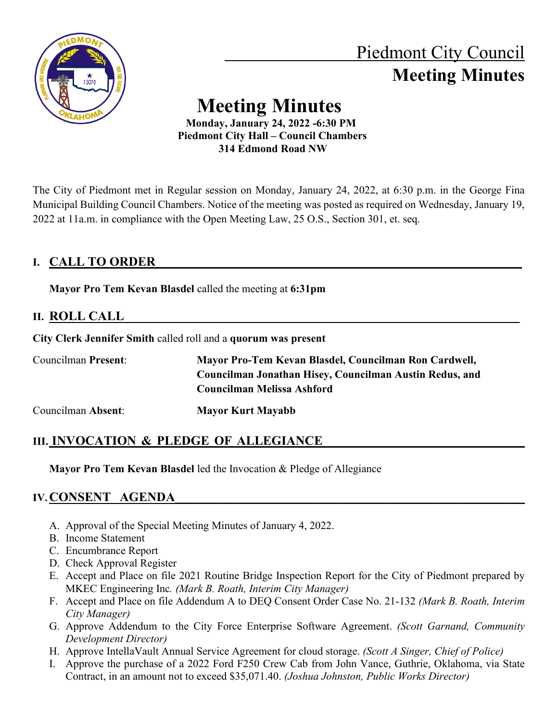

# Piedmont City Council  **Meeting Minutes**

# **Meeting Minutes**

 **Monday, January 24, 2022 -6:30 PM Piedmont City Hall – Council Chambers 314 Edmond Road NW**

The City of Piedmont met in Regular session on Monday, January 24, 2022, at 6:30 p.m. in the George Fina Municipal Building Council Chambers. Notice of the meeting was posted as required on Wednesday, January 19, 2022 at 11a.m. in compliance with the Open Meeting Law, 25 O.S., Section 301, et. seq.

# **I. CALL TO ORDER**

**Mayor Pro Tem Kevan Blasdel** called the meeting at **6:31pm**

# **II. ROLL CALL\_\_\_\_\_\_\_\_\_\_\_\_\_\_\_\_\_\_\_\_\_\_\_\_\_\_\_\_\_\_\_\_\_\_\_\_\_\_\_\_\_\_\_\_\_\_\_\_\_\_\_\_\_\_\_\_\_\_\_\_\_\_**

**City Clerk Jennifer Smith** called roll and a **quorum was present**

| <b>Councilman Present:</b> | Mayor Pro-Tem Kevan Blasdel, Councilman Ron Cardwell,   |
|----------------------------|---------------------------------------------------------|
|                            | Councilman Jonathan Hisey, Councilman Austin Redus, and |
|                            | Councilman Melissa Ashford                              |
| Councilman Absent:         | <b>Mayor Kurt Mayabb</b>                                |

# **III. INVOCATION & PLEDGE OF ALLEGIANCE**

**Mayor Pro Tem Kevan Blasdel** led the Invocation & Pledge of Allegiance

# **IV.CONSENT AGENDA**

- A. Approval of the Special Meeting Minutes of January 4, 2022.
- B. Income Statement
- C. Encumbrance Report
- D. Check Approval Register
- E. Accept and Place on file 2021 Routine Bridge Inspection Report for the City of Piedmont prepared by MKEC Engineering Inc*. (Mark B. Roath, Interim City Manager)*
- F. Accept and Place on file Addendum A to DEQ Consent Order Case No. 21-132 *(Mark B. Roath, Interim City Manager)*
- G. Approve Addendum to the City Force Enterprise Software Agreement. *(Scott Garnand, Community Development Director)*
- H. Approve IntellaVault Annual Service Agreement for cloud storage. *(Scott A Singer, Chief of Police)*
- I. Approve the purchase of a 2022 Ford F250 Crew Cab from John Vance, Guthrie, Oklahoma, via State Contract, in an amount not to exceed \$35,071.40. *(Joshua Johnston, Public Works Director)*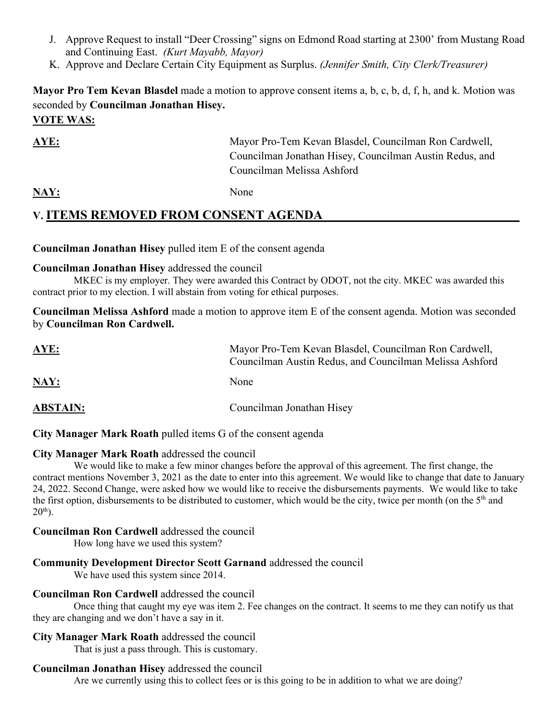- J. Approve Request to install "Deer Crossing" signs on Edmond Road starting at 2300' from Mustang Road and Continuing East. *(Kurt Mayabb, Mayor)*
- K. Approve and Declare Certain City Equipment as Surplus. *(Jennifer Smith, City Clerk/Treasurer)*

**Mayor Pro Tem Kevan Blasdel** made a motion to approve consent items a, b, c, b, d, f, h, and k. Motion was seconded by **Councilman Jonathan Hisey. VOTE WAS:**

**AYE:** Mayor Pro-Tem Kevan Blasdel, Councilman Ron Cardwell, Councilman Jonathan Hisey, Councilman Austin Redus, and Councilman Melissa Ashford

NAY: None

# **V. ITEMS REMOVED FROM CONSENT AGENDA\_\_\_\_\_\_\_\_\_\_\_\_\_\_\_\_\_\_\_\_\_\_\_\_\_\_\_\_\_\_\_\_\_\_\_\_**

#### **Councilman Jonathan Hisey** pulled item E of the consent agenda

#### **Councilman Jonathan Hisey** addressed the council

MKEC is my employer. They were awarded this Contract by ODOT, not the city. MKEC was awarded this contract prior to my election. I will abstain from voting for ethical purposes.

**Councilman Melissa Ashford** made a motion to approve item E of the consent agenda. Motion was seconded by **Councilman Ron Cardwell.** 

| <u>AYE:</u>     | Mayor Pro-Tem Kevan Blasdel, Councilman Ron Cardwell,<br>Councilman Austin Redus, and Councilman Melissa Ashford |
|-----------------|------------------------------------------------------------------------------------------------------------------|
| <u>NAY:</u>     | None                                                                                                             |
| <b>ABSTAIN:</b> | Councilman Jonathan Hisey                                                                                        |

**City Manager Mark Roath** pulled items G of the consent agenda

#### **City Manager Mark Roath** addressed the council

We would like to make a few minor changes before the approval of this agreement. The first change, the contract mentions November 3, 2021 as the date to enter into this agreement. We would like to change that date to January 24, 2022. Second Change, were asked how we would like to receive the disbursements payments. We would like to take the first option, disbursements to be distributed to customer, which would be the city, twice per month (on the 5<sup>th</sup> and  $20^{th}$ ).

#### **Councilman Ron Cardwell** addressed the council

How long have we used this system?

#### **Community Development Director Scott Garnand** addressed the council

We have used this system since 2014.

#### **Councilman Ron Cardwell** addressed the council

Once thing that caught my eye was item 2. Fee changes on the contract. It seems to me they can notify us that they are changing and we don't have a say in it.

#### **City Manager Mark Roath** addressed the council

That is just a pass through. This is customary.

#### **Councilman Jonathan Hisey** addressed the council

Are we currently using this to collect fees or is this going to be in addition to what we are doing?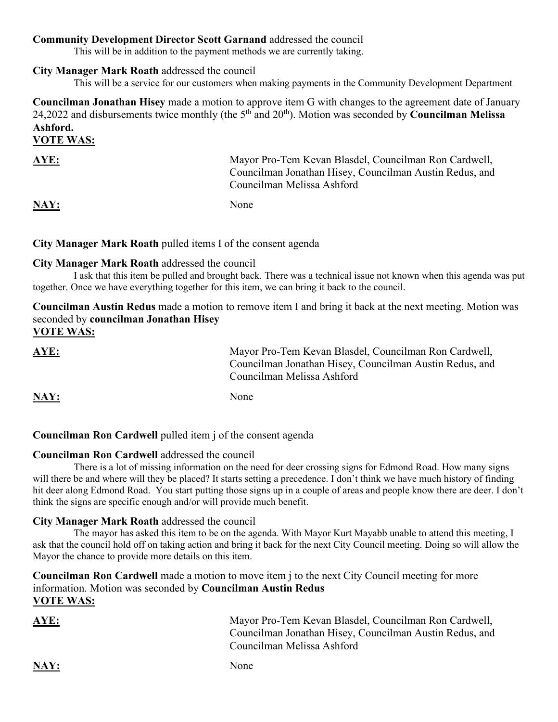#### **Community Development Director Scott Garnand** addressed the council

This will be in addition to the payment methods we are currently taking.

#### **City Manager Mark Roath** addressed the council

This will be a service for our customers when making payments in the Community Development Department

**Councilman Jonathan Hisey** made a motion to approve item G with changes to the agreement date of January 24,2022 and disbursements twice monthly (the 5th and 20th). Motion was seconded by **Councilman Melissa Ashford.** 

#### **VOTE WAS:**

| <b>AYE:</b> | Mayor Pro-Tem Kevan Blasdel, Councilman Ron Cardwell,<br>Councilman Jonathan Hisey, Councilman Austin Redus, and<br>Councilman Melissa Ashford |
|-------------|------------------------------------------------------------------------------------------------------------------------------------------------|
| <b>NAY:</b> | None                                                                                                                                           |

#### **City Manager Mark Roath** pulled items I of the consent agenda

#### **City Manager Mark Roath** addressed the council

I ask that this item be pulled and brought back. There was a technical issue not known when this agenda was put together. Once we have everything together for this item, we can bring it back to the council.

**Councilman Austin Redus** made a motion to remove item I and bring it back at the next meeting. Motion was seconded by **councilman Jonathan Hisey VOTE WAS:**

| AYE:<br>______ | Mayor Pro-Tem Kevan Blasdel, Councilman Ron Cardwell,<br>Councilman Jonathan Hisey, Councilman Austin Redus, and<br>Councilman Melissa Ashford |
|----------------|------------------------------------------------------------------------------------------------------------------------------------------------|
| -----          |                                                                                                                                                |

**NAY:** None

#### **Councilman Ron Cardwell** pulled item j of the consent agenda

#### **Councilman Ron Cardwell** addressed the council

There is a lot of missing information on the need for deer crossing signs for Edmond Road. How many signs will there be and where will they be placed? It starts setting a precedence. I don't think we have much history of finding hit deer along Edmond Road. You start putting those signs up in a couple of areas and people know there are deer. I don't think the signs are specific enough and/or will provide much benefit.

#### **City Manager Mark Roath** addressed the council

The mayor has asked this item to be on the agenda. With Mayor Kurt Mayabb unable to attend this meeting, I ask that the council hold off on taking action and bring it back for the next City Council meeting. Doing so will allow the Mayor the chance to provide more details on this item.

#### **Councilman Ron Cardwell** made a motion to move item j to the next City Council meeting for more information. Motion was seconded by **Councilman Austin Redus VOTE WAS:**

| <b>AYE:</b> | Mayor Pro-Tem Kevan Blasdel, Councilman Ron Cardwell,<br>Councilman Jonathan Hisey, Councilman Austin Redus, and<br>Councilman Melissa Ashford |
|-------------|------------------------------------------------------------------------------------------------------------------------------------------------|
| $\bf NAV:$  | None                                                                                                                                           |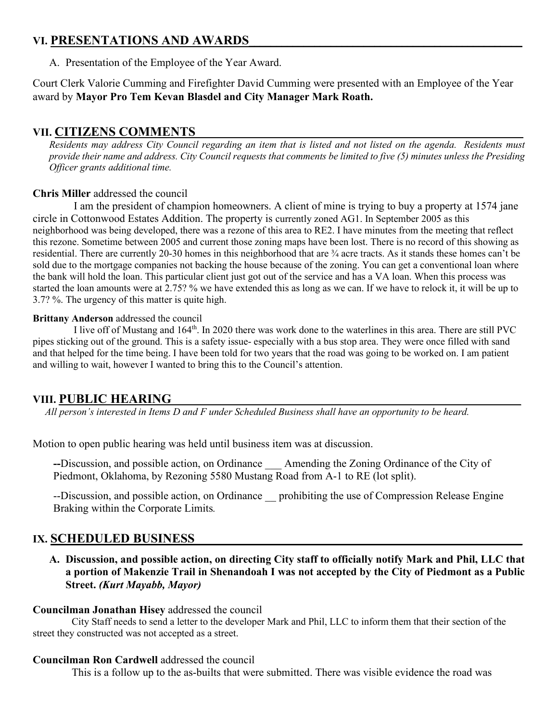## **VI. PRESENTATIONS AND AWARDS**

A. Presentation of the Employee of the Year Award.

Court Clerk Valorie Cumming and Firefighter David Cumming were presented with an Employee of the Year award by **Mayor Pro Tem Kevan Blasdel and City Manager Mark Roath.**

## **VII. CITIZENS COMMENTS\_\_\_\_\_\_\_\_\_\_\_\_\_\_\_\_\_\_\_\_\_\_\_\_\_\_\_\_\_\_\_\_\_\_\_\_\_\_\_\_\_\_\_\_\_\_\_\_\_\_\_\_\_\_\_\_\_\_\_\_**

*Residents may address City Council regarding an item that is listed and not listed on the agenda. Residents must provide their name and address. City Council requests that comments be limited to five (5) minutes unless the Presiding Officer grants additional time.*

#### **Chris Miller** addressed the council

 I am the president of champion homeowners. A client of mine is trying to buy a property at 1574 jane circle in Cottonwood Estates Addition. The property is currently zoned AG1. In September 2005 as this neighborhood was being developed, there was a rezone of this area to RE2. I have minutes from the meeting that reflect this rezone. Sometime between 2005 and current those zoning maps have been lost. There is no record of this showing as residential. There are currently 20-30 homes in this neighborhood that are ¾ acre tracts. As it stands these homes can't be sold due to the mortgage companies not backing the house because of the zoning. You can get a conventional loan where the bank will hold the loan. This particular client just got out of the service and has a VA loan. When this process was started the loan amounts were at 2.75? % we have extended this as long as we can. If we have to relock it, it will be up to 3.7? %. The urgency of this matter is quite high.

#### **Brittany Anderson** addressed the council

I live off of Mustang and 164th. In 2020 there was work done to the waterlines in this area. There are still PVC pipes sticking out of the ground. This is a safety issue- especially with a bus stop area. They were once filled with sand and that helped for the time being. I have been told for two years that the road was going to be worked on. I am patient and willing to wait, however I wanted to bring this to the Council's attention.

# **VIII. PUBLIC HEARING**

*All person's interested in Items D and F under Scheduled Business shall have an opportunity to be heard.* 

Motion to open public hearing was held until business item was at discussion.

**--**Discussion, and possible action, on Ordinance \_\_\_ Amending the Zoning Ordinance of the City of Piedmont, Oklahoma, by Rezoning 5580 Mustang Road from A-1 to RE (lot split).

--Discussion, and possible action, on Ordinance prohibiting the use of Compression Release Engine Braking within the Corporate Limits*.*

# **IX. SCHEDULED BUSINESS**

**A. Discussion, and possible action, on directing City staff to officially notify Mark and Phil, LLC that a portion of Makenzie Trail in Shenandoah I was not accepted by the City of Piedmont as a Public Street.** *(Kurt Mayabb, Mayor)* 

#### **Councilman Jonathan Hisey** addressed the council

City Staff needs to send a letter to the developer Mark and Phil, LLC to inform them that their section of the street they constructed was not accepted as a street.

#### **Councilman Ron Cardwell** addressed the council

This is a follow up to the as-builts that were submitted. There was visible evidence the road was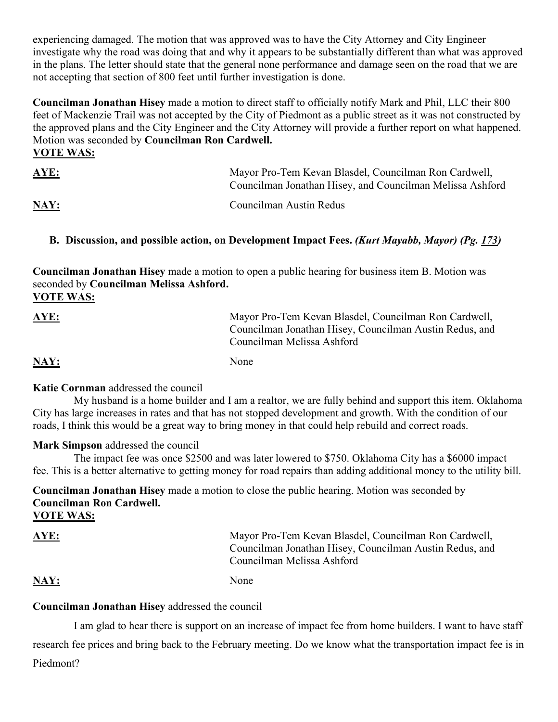experiencing damaged. The motion that was approved was to have the City Attorney and City Engineer investigate why the road was doing that and why it appears to be substantially different than what was approved in the plans. The letter should state that the general none performance and damage seen on the road that we are not accepting that section of 800 feet until further investigation is done.

**Councilman Jonathan Hisey** made a motion to direct staff to officially notify Mark and Phil, LLC their 800 feet of Mackenzie Trail was not accepted by the City of Piedmont as a public street as it was not constructed by the approved plans and the City Engineer and the City Attorney will provide a further report on what happened. Motion was seconded by **Councilman Ron Cardwell. VOTE WAS:**

| <u>AYE:</u> | Mayor Pro-Tem Kevan Blasdel, Councilman Ron Cardwell,<br>Councilman Jonathan Hisey, and Councilman Melissa Ashford |
|-------------|--------------------------------------------------------------------------------------------------------------------|
| NAY:        | Councilman Austin Redus                                                                                            |

#### **B. Discussion, and possible action, on Development Impact Fees.** *(Kurt Mayabb, Mayor) (Pg. 173)*

**Councilman Jonathan Hisey** made a motion to open a public hearing for business item B. Motion was seconded by **Councilman Melissa Ashford. VOTE WAS:**

| <u>AYE:</u> | Mayor Pro-Tem Kevan Blasdel, Councilman Ron Cardwell,<br>Councilman Jonathan Hisey, Councilman Austin Redus, and<br>Councilman Melissa Ashford |
|-------------|------------------------------------------------------------------------------------------------------------------------------------------------|
| NAY:        | None                                                                                                                                           |

#### **Katie Cornman** addressed the council

 My husband is a home builder and I am a realtor, we are fully behind and support this item. Oklahoma City has large increases in rates and that has not stopped development and growth. With the condition of our roads, I think this would be a great way to bring money in that could help rebuild and correct roads.

#### **Mark Simpson** addressed the council

 The impact fee was once \$2500 and was later lowered to \$750. Oklahoma City has a \$6000 impact fee. This is a better alternative to getting money for road repairs than adding additional money to the utility bill.

**Councilman Jonathan Hisey** made a motion to close the public hearing. Motion was seconded by **Councilman Ron Cardwell.** 

**VOTE WAS:**

**AYE:** Mayor Pro-Tem Kevan Blasdel, Councilman Ron Cardwell, Councilman Jonathan Hisey, Councilman Austin Redus, and Councilman Melissa Ashford

NAY: None

### **Councilman Jonathan Hisey** addressed the council

 I am glad to hear there is support on an increase of impact fee from home builders. I want to have staff research fee prices and bring back to the February meeting. Do we know what the transportation impact fee is in Piedmont?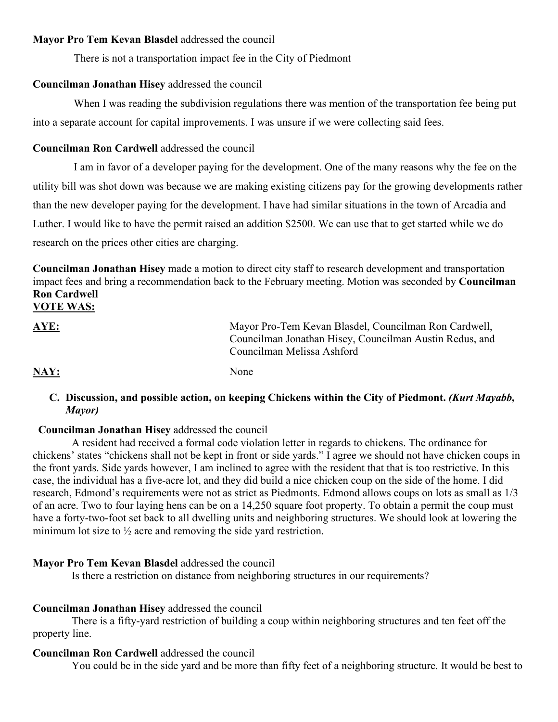#### **Mayor Pro Tem Kevan Blasdel** addressed the council

There is not a transportation impact fee in the City of Piedmont

#### **Councilman Jonathan Hisey** addressed the council

 When I was reading the subdivision regulations there was mention of the transportation fee being put into a separate account for capital improvements. I was unsure if we were collecting said fees.

#### **Councilman Ron Cardwell** addressed the council

 I am in favor of a developer paying for the development. One of the many reasons why the fee on the utility bill was shot down was because we are making existing citizens pay for the growing developments rather than the new developer paying for the development. I have had similar situations in the town of Arcadia and Luther. I would like to have the permit raised an addition \$2500. We can use that to get started while we do research on the prices other cities are charging.

**Councilman Jonathan Hisey** made a motion to direct city staff to research development and transportation impact fees and bring a recommendation back to the February meeting. Motion was seconded by **Councilman Ron Cardwell**

#### **VOTE WAS:**

| AYE: | Mayor Pro-Tem Kevan Blasdel, Councilman Ron Cardwell,<br>Councilman Jonathan Hisey, Councilman Austin Redus, and<br>Councilman Melissa Ashford |
|------|------------------------------------------------------------------------------------------------------------------------------------------------|
| NAY: | None                                                                                                                                           |

#### **C. Discussion, and possible action, on keeping Chickens within the City of Piedmont.** *(Kurt Mayabb, Mayor)*

#### **Councilman Jonathan Hisey** addressed the council

 A resident had received a formal code violation letter in regards to chickens. The ordinance for chickens' states "chickens shall not be kept in front or side yards." I agree we should not have chicken coups in the front yards. Side yards however, I am inclined to agree with the resident that that is too restrictive. In this case, the individual has a five-acre lot, and they did build a nice chicken coup on the side of the home. I did research, Edmond's requirements were not as strict as Piedmonts. Edmond allows coups on lots as small as 1/3 of an acre. Two to four laying hens can be on a 14,250 square foot property. To obtain a permit the coup must have a forty-two-foot set back to all dwelling units and neighboring structures. We should look at lowering the minimum lot size to  $\frac{1}{2}$  acre and removing the side yard restriction.

#### **Mayor Pro Tem Kevan Blasdel** addressed the council

Is there a restriction on distance from neighboring structures in our requirements?

#### **Councilman Jonathan Hisey** addressed the council

There is a fifty-yard restriction of building a coup within neighboring structures and ten feet off the property line.

#### **Councilman Ron Cardwell** addressed the council

You could be in the side yard and be more than fifty feet of a neighboring structure. It would be best to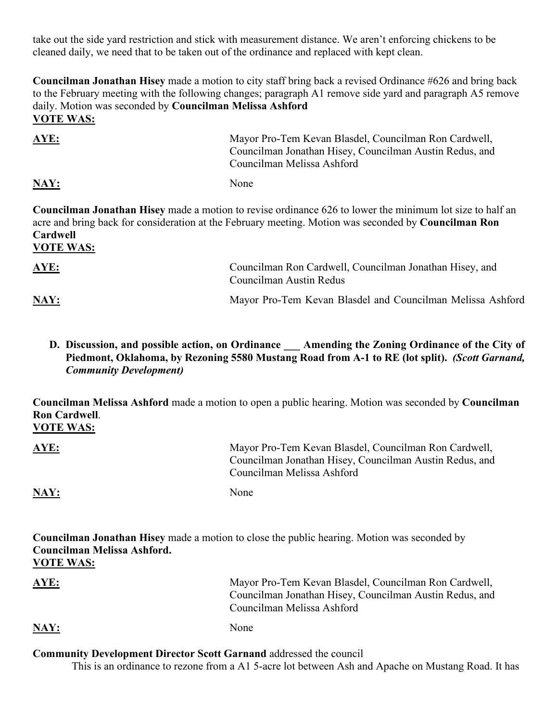take out the side yard restriction and stick with measurement distance. We aren't enforcing chickens to be cleaned daily, we need that to be taken out of the ordinance and replaced with kept clean.

**Councilman Jonathan Hisey** made a motion to city staff bring back a revised Ordinance #626 and bring back to the February meeting with the following changes; paragraph A1 remove side yard and paragraph A5 remove daily. Motion was seconded by **Councilman Melissa Ashford VOTE WAS:**

| <b>AYE:</b> | Mayor Pro-Tem Kevan Blasdel, Councilman Ron Cardwell,<br>Councilman Jonathan Hisey, Councilman Austin Redus, and<br>Councilman Melissa Ashford |
|-------------|------------------------------------------------------------------------------------------------------------------------------------------------|
| NAY:        | None                                                                                                                                           |

**Councilman Jonathan Hisey** made a motion to revise ordinance 626 to lower the minimum lot size to half an acre and bring back for consideration at the February meeting. Motion was seconded by **Councilman Ron Cardwell**

**VOTE WAS:**

| <u>AYE:</u> | Councilman Ron Cardwell, Councilman Jonathan Hisey, and<br>Councilman Austin Redus |
|-------------|------------------------------------------------------------------------------------|
| NAY:        | Mayor Pro-Tem Kevan Blasdel and Councilman Melissa Ashford                         |

**D. Discussion, and possible action, on Ordinance \_\_\_ Amending the Zoning Ordinance of the City of Piedmont, Oklahoma, by Rezoning 5580 Mustang Road from A-1 to RE (lot split).** *(Scott Garnand, Community Development)* 

**Councilman Melissa Ashford** made a motion to open a public hearing. Motion was seconded by **Councilman Ron Cardwell**.

**VOTE WAS:**

| <b>AYE:</b>               | Mayor Pro-Tem Kevan Blasdel, Councilman Ron Cardwell,<br>Councilman Jonathan Hisey, Councilman Austin Redus, and<br>Councilman Melissa Ashford |
|---------------------------|------------------------------------------------------------------------------------------------------------------------------------------------|
| $\overline{\text{MAY}}$ : | None                                                                                                                                           |

| <b>Councilman Jonathan Hisey</b> made a motion to close the public hearing. Motion was seconded by |                                                       |
|----------------------------------------------------------------------------------------------------|-------------------------------------------------------|
| Councilman Melissa Ashford.                                                                        |                                                       |
| <b>VOTE WAS:</b>                                                                                   |                                                       |
| AYE:                                                                                               | Mayor Pro-Tem Kevan Blasdel, Councilman Ron Cardwell, |

| NAY: | None |  |
|------|------|--|

**Community Development Director Scott Garnand** addressed the council

This is an ordinance to rezone from a A1 5-acre lot between Ash and Apache on Mustang Road. It has

Councilman Melissa Ashford

Councilman Jonathan Hisey, Councilman Austin Redus, and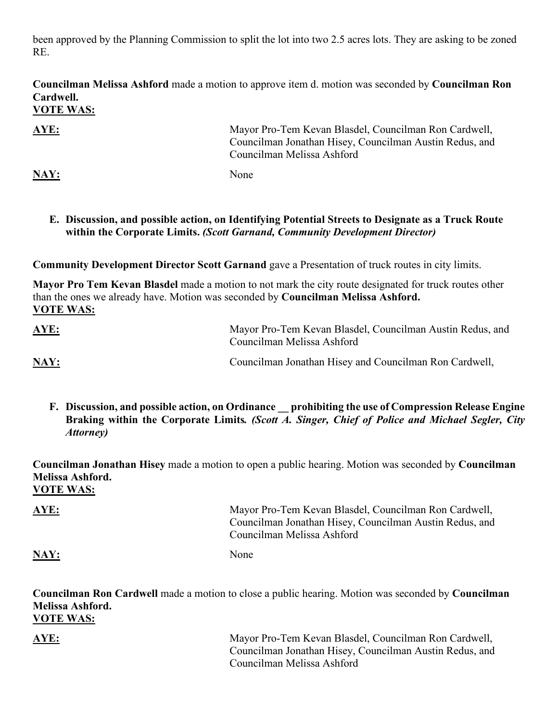been approved by the Planning Commission to split the lot into two 2.5 acres lots. They are asking to be zoned RE.

**Councilman Melissa Ashford** made a motion to approve item d. motion was seconded by **Councilman Ron Cardwell.**

# **VOTE WAS:**

**AYE:** Mayor Pro-Tem Kevan Blasdel, Councilman Ron Cardwell, Councilman Jonathan Hisey, Councilman Austin Redus, and Councilman Melissa Ashford

#### NAY: None

#### **E. Discussion, and possible action, on Identifying Potential Streets to Designate as a Truck Route within the Corporate Limits.** *(Scott Garnand, Community Development Director)*

**Community Development Director Scott Garnand** gave a Presentation of truck routes in city limits.

**Mayor Pro Tem Kevan Blasdel** made a motion to not mark the city route designated for truck routes other than the ones we already have. Motion was seconded by **Councilman Melissa Ashford. VOTE WAS:**

| <u>AYE:</u> | Mayor Pro-Tem Kevan Blasdel, Councilman Austin Redus, and<br>Councilman Melissa Ashford |
|-------------|-----------------------------------------------------------------------------------------|
| NAY:        | Councilman Jonathan Hisey and Councilman Ron Cardwell,                                  |

**F. Discussion, and possible action, on Ordinance \_\_ prohibiting the use of Compression Release Engine Braking within the Corporate Limits***. (Scott A. Singer, Chief of Police and Michael Segler, City Attorney)* 

**Councilman Jonathan Hisey** made a motion to open a public hearing. Motion was seconded by **Councilman Melissa Ashford. VOTE WAS:**

| <b>AYE:</b> | Mayor Pro-Tem Kevan Blasdel, Councilman Ron Cardwell,<br>Councilman Jonathan Hisey, Councilman Austin Redus, and<br>Councilman Melissa Ashford |
|-------------|------------------------------------------------------------------------------------------------------------------------------------------------|
| NAY:        | None                                                                                                                                           |

**Councilman Ron Cardwell** made a motion to close a public hearing. Motion was seconded by **Councilman Melissa Ashford. VOTE WAS:**

**AYE:** Mayor Pro-Tem Kevan Blasdel, Councilman Ron Cardwell, Councilman Jonathan Hisey, Councilman Austin Redus, and Councilman Melissa Ashford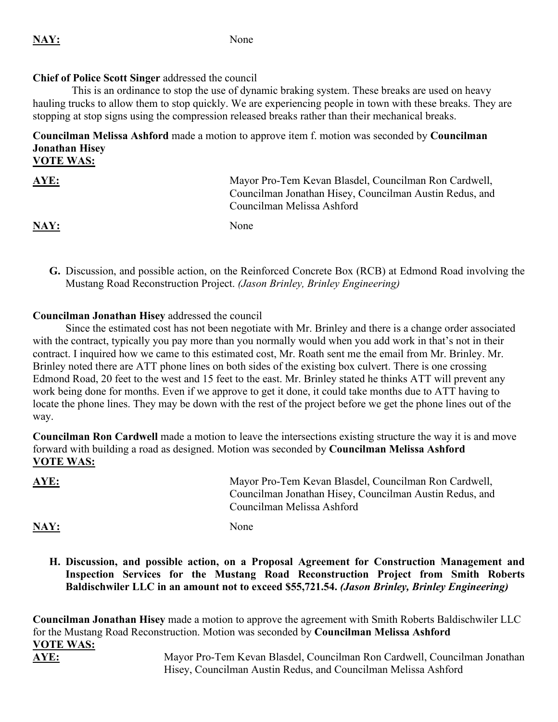#### **Chief of Police Scott Singer** addressed the council

 This is an ordinance to stop the use of dynamic braking system. These breaks are used on heavy hauling trucks to allow them to stop quickly. We are experiencing people in town with these breaks. They are stopping at stop signs using the compression released breaks rather than their mechanical breaks.

**Councilman Melissa Ashford** made a motion to approve item f. motion was seconded by **Councilman Jonathan Hisey VOTE WAS:**

| <u>AYE:</u> | Mayor Pro-Tem Kevan Blasdel, Councilman Ron Cardwell,<br>Councilman Jonathan Hisey, Councilman Austin Redus, and<br>Councilman Melissa Ashford |
|-------------|------------------------------------------------------------------------------------------------------------------------------------------------|
| <u>NAY:</u> | None                                                                                                                                           |

**G.** Discussion, and possible action, on the Reinforced Concrete Box (RCB) at Edmond Road involving the Mustang Road Reconstruction Project. *(Jason Brinley, Brinley Engineering)* 

#### **Councilman Jonathan Hisey** addressed the council

 Since the estimated cost has not been negotiate with Mr. Brinley and there is a change order associated with the contract, typically you pay more than you normally would when you add work in that's not in their contract. I inquired how we came to this estimated cost, Mr. Roath sent me the email from Mr. Brinley. Mr. Brinley noted there are ATT phone lines on both sides of the existing box culvert. There is one crossing Edmond Road, 20 feet to the west and 15 feet to the east. Mr. Brinley stated he thinks ATT will prevent any work being done for months. Even if we approve to get it done, it could take months due to ATT having to locate the phone lines. They may be down with the rest of the project before we get the phone lines out of the way.

**Councilman Ron Cardwell** made a motion to leave the intersections existing structure the way it is and move forward with building a road as designed. Motion was seconded by **Councilman Melissa Ashford VOTE WAS:**

| <u>AYE:</u> | Mayor Pro-Tem Kevan Blasdel, Councilman Ron Cardwell,<br>Councilman Jonathan Hisey, Councilman Austin Redus, and<br>Councilman Melissa Ashford |
|-------------|------------------------------------------------------------------------------------------------------------------------------------------------|
| NAY:        | None                                                                                                                                           |

**H. Discussion, and possible action, on a Proposal Agreement for Construction Management and Inspection Services for the Mustang Road Reconstruction Project from Smith Roberts Baldischwiler LLC in an amount not to exceed \$55,721.54.** *(Jason Brinley, Brinley Engineering)*

**Councilman Jonathan Hisey** made a motion to approve the agreement with Smith Roberts Baldischwiler LLC for the Mustang Road Reconstruction. Motion was seconded by **Councilman Melissa Ashford VOTE WAS: AYE:** Mayor Pro-Tem Kevan Blasdel, Councilman Ron Cardwell, Councilman Jonathan Hisey, Councilman Austin Redus, and Councilman Melissa Ashford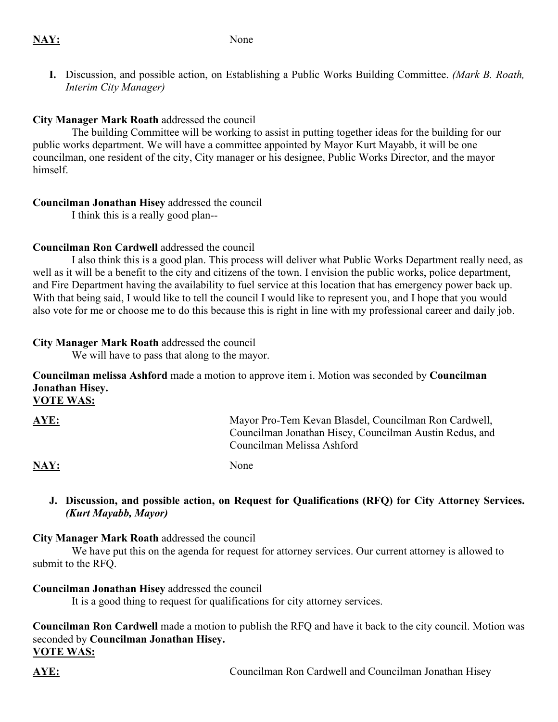**I.** Discussion, and possible action, on Establishing a Public Works Building Committee. *(Mark B. Roath, Interim City Manager)* 

#### **City Manager Mark Roath** addressed the council

 The building Committee will be working to assist in putting together ideas for the building for our public works department. We will have a committee appointed by Mayor Kurt Mayabb, it will be one councilman, one resident of the city, City manager or his designee, Public Works Director, and the mayor himself.

#### **Councilman Jonathan Hisey** addressed the council

I think this is a really good plan--

### **Councilman Ron Cardwell** addressed the council

 I also think this is a good plan. This process will deliver what Public Works Department really need, as well as it will be a benefit to the city and citizens of the town. I envision the public works, police department, and Fire Department having the availability to fuel service at this location that has emergency power back up. With that being said, I would like to tell the council I would like to represent you, and I hope that you would also vote for me or choose me to do this because this is right in line with my professional career and daily job.

#### **City Manager Mark Roath** addressed the council

We will have to pass that along to the mayor.

**Councilman melissa Ashford** made a motion to approve item i. Motion was seconded by **Councilman Jonathan Hisey.** 

**VOTE WAS:**

| AYE: | Mayor Pro-Tem Kevan Blasdel, Councilman Ron Cardwell,   |
|------|---------------------------------------------------------|
|      | Councilman Jonathan Hisey, Councilman Austin Redus, and |
|      | Councilman Melissa Ashford                              |

NAY: None

#### **J. Discussion, and possible action, on Request for Qualifications (RFQ) for City Attorney Services.**  *(Kurt Mayabb, Mayor)*

#### **City Manager Mark Roath** addressed the council

We have put this on the agenda for request for attorney services. Our current attorney is allowed to submit to the RFQ.

### **Councilman Jonathan Hisey** addressed the council

It is a good thing to request for qualifications for city attorney services.

**Councilman Ron Cardwell** made a motion to publish the RFQ and have it back to the city council. Motion was seconded by **Councilman Jonathan Hisey. VOTE WAS:**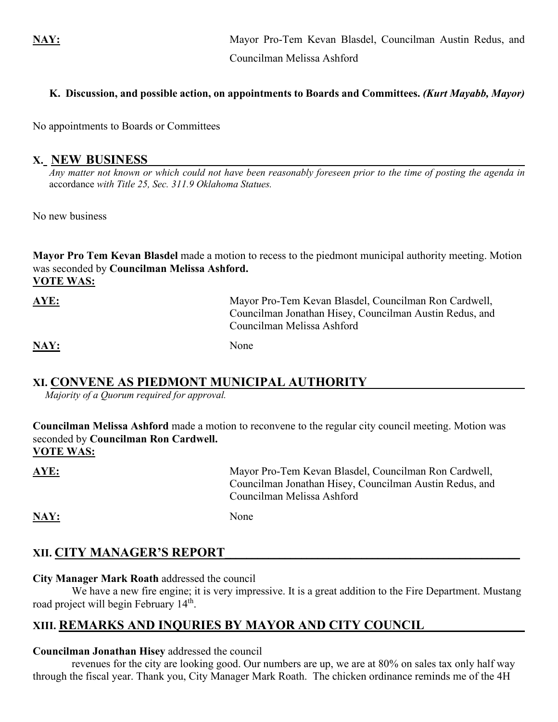**NAY:** Mayor Pro-Tem Kevan Blasdel, Councilman Austin Redus, and Councilman Melissa Ashford

#### **K. Discussion, and possible action, on appointments to Boards and Committees.** *(Kurt Mayabb, Mayor)*

No appointments to Boards or Committees

#### **X. NEW BUSINESS\_\_\_\_\_\_\_\_\_\_\_\_\_\_\_\_\_\_\_\_\_\_\_\_\_\_\_\_\_\_\_\_\_\_\_\_\_\_\_\_\_\_\_\_\_\_\_\_\_\_\_\_\_\_\_\_\_\_\_\_\_\_\_\_\_\_\_\_\_**

*Any matter not known or which could not have been reasonably foreseen prior to the time of posting the agenda in*  accordance *with Title 25, Sec. 311.9 Oklahoma Statues.*

No new business

**Mayor Pro Tem Kevan Blasdel** made a motion to recess to the piedmont municipal authority meeting. Motion was seconded by **Councilman Melissa Ashford. VOTE WAS:**

| AYE: | Mayor Pro-Tem Kevan Blasdel, Councilman Ron Cardwell,   |
|------|---------------------------------------------------------|
|      | Councilman Jonathan Hisey, Councilman Austin Redus, and |
|      | Councilman Melissa Ashford                              |
|      |                                                         |

NAY: None

### **XI. CONVENE AS PIEDMONT MUNICIPAL AUTHORITY**

*Majority of a Quorum required for approval.*

**Councilman Melissa Ashford** made a motion to reconvene to the regular city council meeting. Motion was seconded by **Councilman Ron Cardwell. VOTE WAS:**

**AYE:** Mayor Pro-Tem Kevan Blasdel, Councilman Ron Cardwell, Councilman Jonathan Hisey, Councilman Austin Redus, and Councilman Melissa Ashford

NAY: None

# **XII. CITY MANAGER'S REPORT**

#### **City Manager Mark Roath** addressed the council

We have a new fire engine; it is very impressive. It is a great addition to the Fire Department. Mustang road project will begin February 14<sup>th</sup>.

# **XIII. REMARKS AND INQURIES BY MAYOR AND CITY COUNCIL \_\_\_\_\_\_\_\_\_\_\_\_**

#### **Councilman Jonathan Hisey** addressed the council

 revenues for the city are looking good. Our numbers are up, we are at 80% on sales tax only half way through the fiscal year. Thank you, City Manager Mark Roath. The chicken ordinance reminds me of the 4H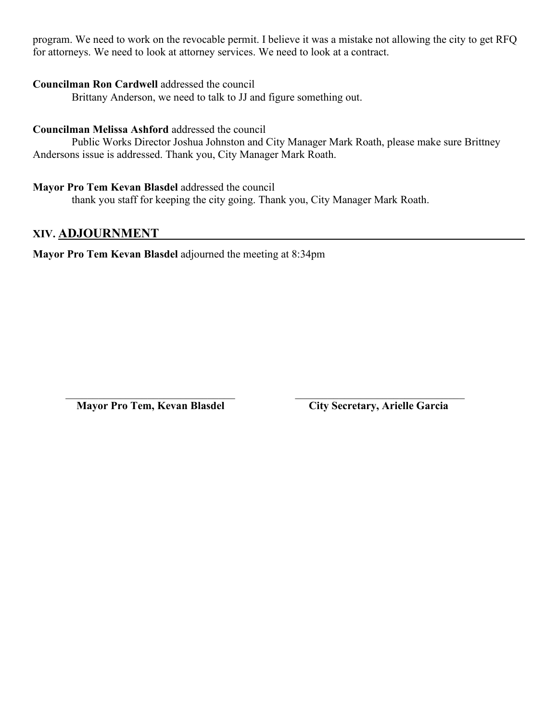program. We need to work on the revocable permit. I believe it was a mistake not allowing the city to get RFQ for attorneys. We need to look at attorney services. We need to look at a contract.

#### **Councilman Ron Cardwell** addressed the council

Brittany Anderson, we need to talk to JJ and figure something out.

#### **Councilman Melissa Ashford** addressed the council

 Public Works Director Joshua Johnston and City Manager Mark Roath, please make sure Brittney Andersons issue is addressed. Thank you, City Manager Mark Roath.

#### **Mayor Pro Tem Kevan Blasdel** addressed the council

thank you staff for keeping the city going. Thank you, City Manager Mark Roath.

 $\mathcal{L}_\text{max} = \frac{1}{2} \sum_{i=1}^{n} \frac{1}{2} \sum_{i=1}^{n} \frac{1}{2} \sum_{i=1}^{n} \frac{1}{2} \sum_{i=1}^{n} \frac{1}{2} \sum_{i=1}^{n} \frac{1}{2} \sum_{i=1}^{n} \frac{1}{2} \sum_{i=1}^{n} \frac{1}{2} \sum_{i=1}^{n} \frac{1}{2} \sum_{i=1}^{n} \frac{1}{2} \sum_{i=1}^{n} \frac{1}{2} \sum_{i=1}^{n} \frac{1}{2} \sum_{i=1}^{n} \frac{1$ 

#### **XIV. ADJOURNMENT \_\_\_\_\_\_**

**Mayor Pro Tem Kevan Blasdel** adjourned the meeting at 8:34pm

**Mayor Pro Tem, Kevan Blasdel City Secretary, Arielle Garcia**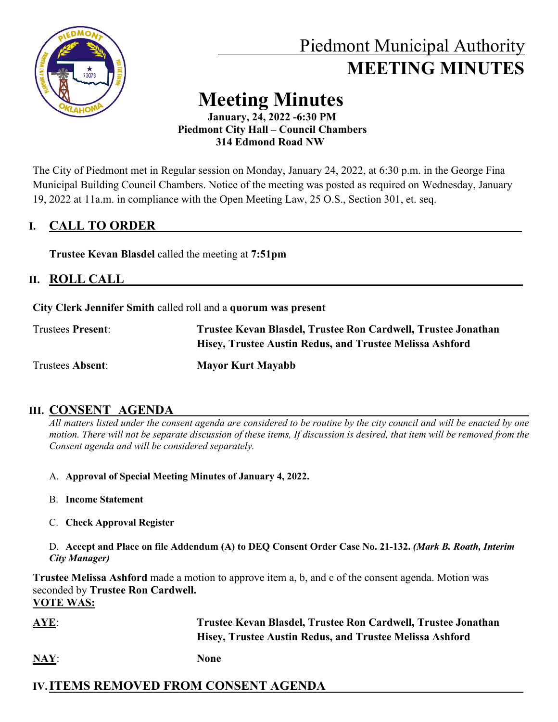

# Piedmont Municipal Authority  **MEETING MINUTES**

# **Meeting Minutes**

 **January, 24, 2022 -6:30 PM Piedmont City Hall – Council Chambers 314 Edmond Road NW**

The City of Piedmont met in Regular session on Monday, January 24, 2022, at 6:30 p.m. in the George Fina Municipal Building Council Chambers. Notice of the meeting was posted as required on Wednesday, January 19, 2022 at 11a.m. in compliance with the Open Meeting Law, 25 O.S., Section 301, et. seq.

# **I. CALL TO ORDER**

**Trustee Kevan Blasdel** called the meeting at **7:51pm** 

# **II. ROLL CALL\_\_\_\_\_\_\_\_\_\_\_\_\_\_\_\_\_\_\_\_\_\_\_\_\_\_\_\_\_\_\_\_\_\_\_\_\_\_\_\_\_\_\_\_\_\_\_\_\_\_\_\_\_\_\_\_\_\_\_\_\_\_\_\_\_\_\_\_\_\_\_\_\_**

**City Clerk Jennifer Smith** called roll and a **quorum was present**

| <b>Trustees Present:</b> | Trustee Kevan Blasdel, Trustee Ron Cardwell, Trustee Jonathan |
|--------------------------|---------------------------------------------------------------|
|                          | Hisey, Trustee Austin Redus, and Trustee Melissa Ashford      |
| Trustees Absent:         | <b>Mayor Kurt Mayabb</b>                                      |

# **III. CONSENT AGENDA**

*All matters listed under the consent agenda are considered to be routine by the city council and will be enacted by one motion. There will not be separate discussion of these items, If discussion is desired, that item will be removed from the Consent agenda and will be considered separately.* 

- A. **Approval of Special Meeting Minutes of January 4, 2022.**
- B. **Income Statement**
- C. **Check Approval Register**
- D. **Accept and Place on file Addendum (A) to DEQ Consent Order Case No. 21-132.** *(Mark B. Roath, Interim City Manager)*

**Trustee Melissa Ashford** made a motion to approve item a, b, and c of the consent agenda. Motion was seconded by **Trustee Ron Cardwell. VOTE WAS:**

- **AYE**: **Trustee Kevan Blasdel, Trustee Ron Cardwell, Trustee Jonathan Hisey, Trustee Austin Redus, and Trustee Melissa Ashford**
- **NAY**: **None**

# **IV.ITEMS REMOVED FROM CONSENT AGENDA**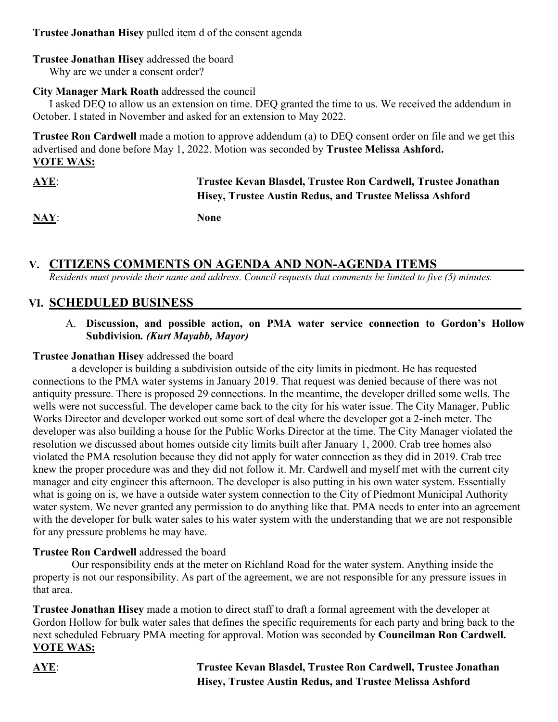### **Trustee Jonathan Hisey** pulled item d of the consent agenda

#### **Trustee Jonathan Hisey** addressed the board

Why are we under a consent order?

#### **City Manager Mark Roath** addressed the council

 I asked DEQ to allow us an extension on time. DEQ granted the time to us. We received the addendum in October. I stated in November and asked for an extension to May 2022.

**Trustee Ron Cardwell** made a motion to approve addendum (a) to DEQ consent order on file and we get this advertised and done before May 1, 2022. Motion was seconded by **Trustee Melissa Ashford. VOTE WAS:**

| $AYE$ :<br><b>Contract Contract Contract</b> | Trustee Kevan Blasdel, Trustee Ron Cardwell, Trustee Jonathan |
|----------------------------------------------|---------------------------------------------------------------|
|                                              | Hisey, Trustee Austin Redus, and Trustee Melissa Ashford      |
| $\mathbf{NAY:}$                              | <b>None</b>                                                   |

# **V. CITIZENS COMMENTS ON AGENDA AND NON-AGENDA ITEMS**

*Residents must provide their name and address. Council requests that comments be limited to five (5) minutes.*

## **VI. SCHEDULED BUSINESS**

#### A. **Discussion, and possible action, on PMA water service connection to Gordon's Hollow Subdivision***. (Kurt Mayabb, Mayor)*

#### **Trustee Jonathan Hisey** addressed the board

 a developer is building a subdivision outside of the city limits in piedmont. He has requested connections to the PMA water systems in January 2019. That request was denied because of there was not antiquity pressure. There is proposed 29 connections. In the meantime, the developer drilled some wells. The wells were not successful. The developer came back to the city for his water issue. The City Manager, Public Works Director and developer worked out some sort of deal where the developer got a 2-inch meter. The developer was also building a house for the Public Works Director at the time. The City Manager violated the resolution we discussed about homes outside city limits built after January 1, 2000. Crab tree homes also violated the PMA resolution because they did not apply for water connection as they did in 2019. Crab tree knew the proper procedure was and they did not follow it. Mr. Cardwell and myself met with the current city manager and city engineer this afternoon. The developer is also putting in his own water system. Essentially what is going on is, we have a outside water system connection to the City of Piedmont Municipal Authority water system. We never granted any permission to do anything like that. PMA needs to enter into an agreement with the developer for bulk water sales to his water system with the understanding that we are not responsible for any pressure problems he may have.

#### **Trustee Ron Cardwell** addressed the board

 Our responsibility ends at the meter on Richland Road for the water system. Anything inside the property is not our responsibility. As part of the agreement, we are not responsible for any pressure issues in that area.

**Trustee Jonathan Hisey** made a motion to direct staff to draft a formal agreement with the developer at Gordon Hollow for bulk water sales that defines the specific requirements for each party and bring back to the next scheduled February PMA meeting for approval. Motion was seconded by **Councilman Ron Cardwell. VOTE WAS:**

**AYE**: **Trustee Kevan Blasdel, Trustee Ron Cardwell, Trustee Jonathan Hisey, Trustee Austin Redus, and Trustee Melissa Ashford**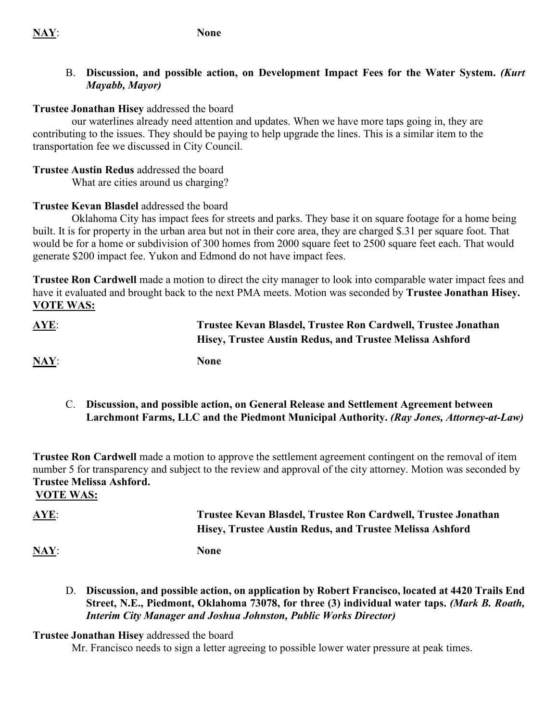### **NAY**: **None**

#### B. **Discussion, and possible action, on Development Impact Fees for the Water System.** *(Kurt Mayabb, Mayor)*

#### **Trustee Jonathan Hisey** addressed the board

 our waterlines already need attention and updates. When we have more taps going in, they are contributing to the issues. They should be paying to help upgrade the lines. This is a similar item to the transportation fee we discussed in City Council.

#### **Trustee Austin Redus** addressed the board

What are cities around us charging?

#### **Trustee Kevan Blasdel** addressed the board

Oklahoma City has impact fees for streets and parks. They base it on square footage for a home being built. It is for property in the urban area but not in their core area, they are charged \$.31 per square foot. That would be for a home or subdivision of 300 homes from 2000 square feet to 2500 square feet each. That would generate \$200 impact fee. Yukon and Edmond do not have impact fees.

**Trustee Ron Cardwell** made a motion to direct the city manager to look into comparable water impact fees and have it evaluated and brought back to the next PMA meets. Motion was seconded by **Trustee Jonathan Hisey. VOTE WAS:**

| <b>AYE:</b>               | Trustee Kevan Blasdel, Trustee Ron Cardwell, Trustee Jonathan<br>Hisey, Trustee Austin Redus, and Trustee Melissa Ashford |
|---------------------------|---------------------------------------------------------------------------------------------------------------------------|
| $\overline{\text{MAY}}$ : | <b>None</b>                                                                                                               |

C. **Discussion, and possible action, on General Release and Settlement Agreement between Larchmont Farms, LLC and the Piedmont Municipal Authority.** *(Ray Jones, Attorney-at-Law)*

**Trustee Ron Cardwell** made a motion to approve the settlement agreement contingent on the removal of item number 5 for transparency and subject to the review and approval of the city attorney. Motion was seconded by **Trustee Melissa Ashford.** 

**VOTE WAS:**

# **AYE**: **Trustee Kevan Blasdel, Trustee Ron Cardwell, Trustee Jonathan Hisey, Trustee Austin Redus, and Trustee Melissa Ashford**

**NAY**: **None**

D. **Discussion, and possible action, on application by Robert Francisco, located at 4420 Trails End Street, N.E., Piedmont, Oklahoma 73078, for three (3) individual water taps.** *(Mark B. Roath, Interim City Manager and Joshua Johnston, Public Works Director)* 

#### **Trustee Jonathan Hisey** addressed the board

Mr. Francisco needs to sign a letter agreeing to possible lower water pressure at peak times.